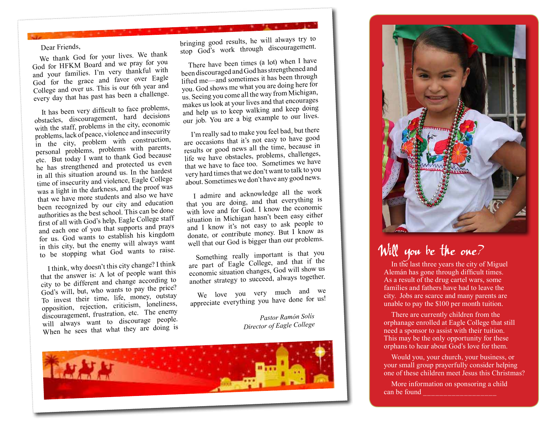Dear Friends,

We thank God for your lives. We thank God for HFKM Board and we pray for you and your families. I'm very thankful with God for the grace and favor over Eagle College and over us. This is our 6th year an<sup>d</sup> every day that has past has been a challenge.

It has been very difficult to face problems, obstacles, discouragement, hard decisions with the staff, problems in the city, economic problems, lack of peace, violence and insecurity in the city, problem with construction, personal problems, problems with parents, etc. But today I want to thank God because he has strengthened and protected us even in all this situation around us. In the hardest time of insecurity and violence, Eagle College was a light in the darkness, and the proof was that we have more students and also we have been recognized by our city and education authorities as the best school. This can be done first of all with God's help, Eagle College staff and each one of you that supports and prays for us. God wants to establish his kingdom in this city, but the enemy will always want to be stopping what God wants to raise.

I think, why doesn't this city change? I think that the answer is: A lot of people want this city to be different and change according to God's will, but, who wants to pay the price? To invest their time, life, money, outstay opposition, rejection, criticism, loneliness, discouragement, frustration, etc. The enemy will always want to discourage people. When he sees that what they are doing is

bringing good results, he will always try to stop God's work through discouragement.

There have been times (a lot) when I have been discouraged and God has strengthened and lifted me—and sometimes it has been through you. God shows me what you are doing here for us. Seeing you come all the way from Michigan, makes us look at your lives and that encourages and help us to keep walking and keep doing our job. You are a big example to our lives.

I'm really sad to make you feel bad, but there are occasions that it's not easy to have goo<sup>d</sup> results or good news all the time, because in life we have obstacles, problems, challenges, that we have to face too. Sometimes we have very hard times that we don't want to talk to you about. Sometimes we don't have any good news.

I admire and acknowledge all the work that you are doing, and that everything is with love and for God. I know the economic situation in Michigan hasn't been easy either and I know it's not easy to ask people to donate, or contribute money. But I know as well that our God is bigger than our problems.

Something really important is that you are part of Eagle College, and that if the economic situation changes, God will show us another strategy to succeed, always together.

We love you very much and we appreciate everything you have done for us!

> *Pastor Ramón Solís Director of Eagle College*





## Will you be the one?

In the last three years the city of Miguel Alemán has gone through difficult times. As a result of the drug cartel wars, some families and fathers have had to leave the city. Jobs are scarce and many parents are unable to pay the \$100 per month tuition.

There are currently children from the orphanage enrolled at Eagle College that still need a sponsor to assist with their tuition. This may be the only opportunity for these orphans to hear about God's love for them.

Would you, your church, your business, or your small group prayerfully consider helping one of these children meet Jesus this Christmas?

More information on sponsoring a child can be found **can**